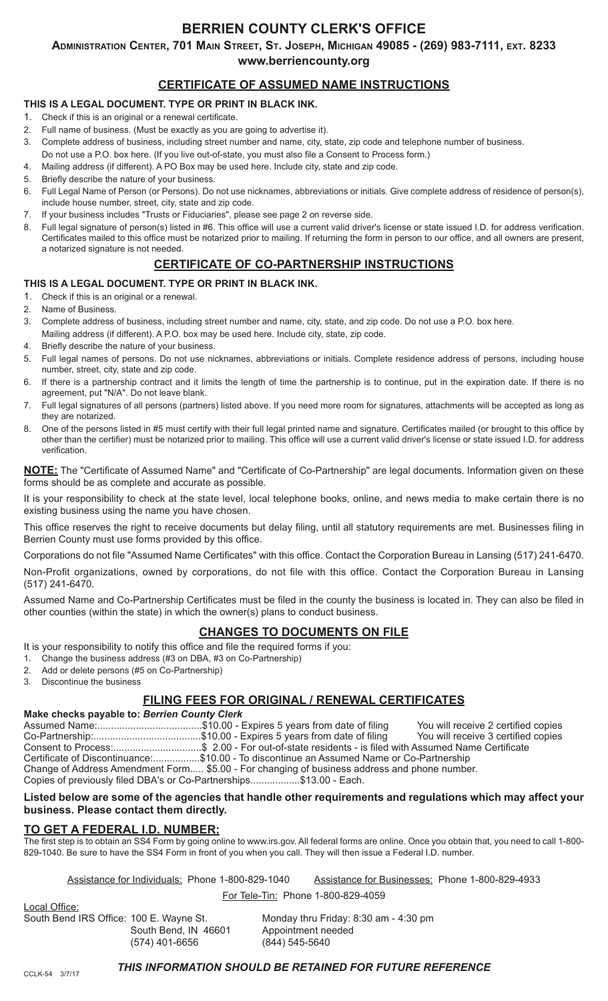# **BERRIEN COUNTY CLERK'S OFFICE**

**Administration Center, 701 Main Street, St. Joseph, Michigan 49085 - (269) 983-7111, ext. 8233**

**www.berriencounty.org**

# **CERTIFICATE OF ASSUMED NAME INSTRUCTIONS**

## **THIS IS A LEGAL DOCUMENT. TYPE OR PRINT IN BLACK INK.**

- 1. Check if this is an original or a renewal certificate.
- 2. Full name of business. (Must be exactly as you are going to advertise it).
- 3. Complete address of business, including street number and name, city, state, zip code and telephone number of business.
- Do not use a P.O. box here. (If you live out-of-state, you must also file a Consent to Process form.)
- 4. Mailing address (if different). A PO Box may be used here. Include city, state and zip code.
- 5. Briefly describe the nature of your business.
- 6. Full Legal Name of Person (or Persons). Do not use nicknames, abbreviations or initials. Give complete address of residence of person(s), include house number, street, city, state and zip code.
- 7. If your business includes "Trusts or Fiduciaries", please see page 2 on reverse side.
- 8. Full legal signature of person(s) listed in #6. This office will use a current valid driver's license or state issued I.D. for address verification. Certificates mailed to this office must be notarized prior to mailing. If returning the form in person to our office, and all owners are present, a notarized signature is not needed.

## **CERTIFICATE OF CO-PARTNERSHIP INSTRUCTIONS**

## **THIS IS A LEGAL DOCUMENT. TYPE OR PRINT IN BLACK INK.**

- 1. Check if this is an original or a renewal.
- 2. Name of Business.
- 3. Complete address of business, including street number and name, city, state, and zip code. Do not use a P.O. box here.
- Mailing address (if different). A P.O. box may be used here. Include city, state, zip code.
- 4. Briefly describe the nature of your business.
- 5. Full legal names of persons. Do not use nicknames, abbreviations or initials. Complete residence address of persons, including house number, street, city, state and zip code.
- 6. If there is a partnership contract and it limits the length of time the partnership is to continue, put in the expiration date. If there is no agreement, put "N/A". Do not leave blank.
- 7. Full legal signatures of all persons (partners) listed above. If you need more room for signatures, attachments will be accepted as long as they are notarized.
- 8. One of the persons listed in #5 must certify with their full legal printed name and signature. Certificates mailed (or brought to this office by other than the certifier) must be notarized prior to mailing. This office will use a current valid driver's license or state issued I.D. for address verification.

**NOTE:** The "Certificate of Assumed Name" and "Certificate of Co-Partnership" are legal documents. Information given on these forms should be as complete and accurate as possible.

It is your responsibility to check at the state level, local telephone books, online, and news media to make certain there is no existing business using the name you have chosen.

This office reserves the right to receive documents but delay filing, until all statutory requirements are met. Businesses filing in Berrien County must use forms provided by this office.

Corporations do not file "Assumed Name Certificates" with this office. Contact the Corporation Bureau in Lansing (517) 241-6470.

Non-Profit organizations, owned by corporations, do not file with this office. Contact the Corporation Bureau in Lansing (517) 241-6470.

Assumed Name and Co-Partnership Certificates must be filed in the county the business is located in. They can also be filed in other counties (within the state) in which the owner(s) plans to conduct business.

# **CHANGES TO DOCUMENTS ON FILE**

It is your responsibility to notify this office and file the required forms if you:

- 1. Change the business address (#3 on DBA, #3 on Co-Partnership)
- 2. Add or delete persons (#5 on Co-Partnership)
- 3. Discontinue the business

# **FILING FEES FOR ORIGINAL / RENEWAL CERTIFICATES**

### **Make checks payable to:** *Berrien County Clerk*

Assumed Name:..................................\$10.00 - Expires 5 years from date of filing You will receive 2 certified copies Co-Partnership:.......................................\$10.00 - Expires 5 years from date of filing You will receive 3 certified copies Consent to Process:................................\$ 2.00 - For out-of-state residents - is filed with Assumed Name Certificate Certificate of Discontinuance:.................\$10.00 - To discontinue an Assumed Name or Co-Partnership Change of Address Amendment Form..... \$5.00 - For changing of business address and phone number. Copies of previously filed DBA's or Co-Partnerships.................\$13.00 - Each.

### **Listed below are some of the agencies that handle other requirements and regulations which may affect your business. Please contact them directly.**

## **TO GET A FEDERAL I.D. NUMBER:**

The first step is to obtain an SS4 Form by going online to www.irs.gov. All federal forms are online. Once you obtain that, you need to call 1-800- 829-1040. Be sure to have the SS4 Form in front of you when you call. They will then issue a Federal I.D. number.

Assistance for Individuals: Phone 1-800-829-1040 Assistance for Businesses: Phone 1-800-829-4933

For Tele-Tin: Phone 1-800-829-4059

Local Office: South Bend IRS Office: 100 E. Wayne St. Monday thru Friday: 8:30 am - 4:30 pm South Bend, IN 46601 Appointment needed<br>(574) 401-6656 (844) 545-5640 (574) 401-6656

### *THIS INFORMATION SHOULD BE RETAINED FOR FUTURE REFERENCE*